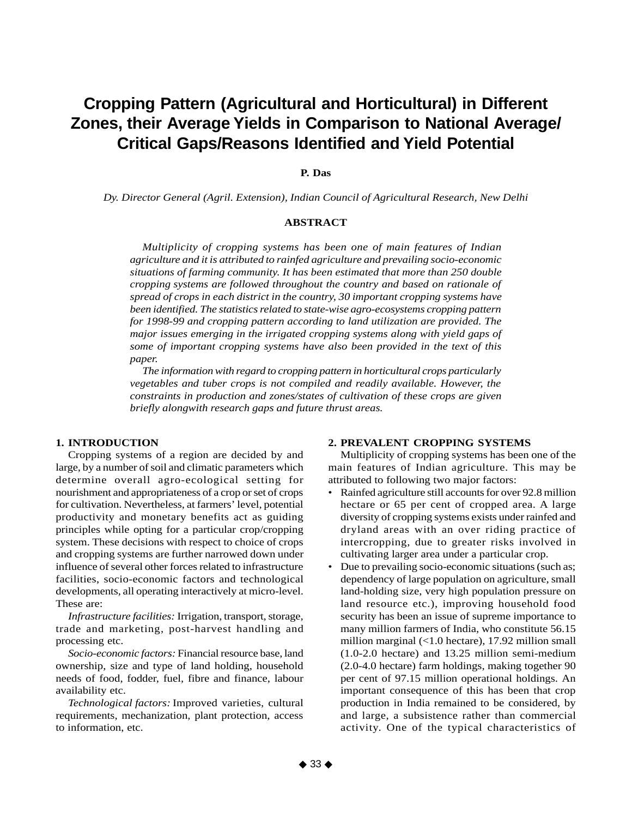# **Cropping Pattern (Agricultural and Horticultural) in Different Zones, their Average Yields in Comparison to National Average/ Critical Gaps/Reasons Identified and Yield Potential**

# **P. Das**

*Dy. Director General (Agril. Extension), Indian Council of Agricultural Research, New Delhi*

# **ABSTRACT**

*Multiplicity of cropping systems has been one of main features of Indian agriculture and it is attributed to rainfed agriculture and prevailing socio-economic situations of farming community. It has been estimated that more than 250 double cropping systems are followed throughout the country and based on rationale of spread of crops in each district in the country, 30 important cropping systems have been identified. The statistics related to state-wise agro-ecosystems cropping pattern for 1998-99 and cropping pattern according to land utilization are provided. The major issues emerging in the irrigated cropping systems along with yield gaps of some of important cropping systems have also been provided in the text of this paper.*

*The information with regard to cropping pattern in horticultural crops particularly vegetables and tuber crops is not compiled and readily available. However, the constraints in production and zones/states of cultivation of these crops are given briefly alongwith research gaps and future thrust areas.*

# **1. INTRODUCTION**

Cropping systems of a region are decided by and large, by a number of soil and climatic parameters which determine overall agro-ecological setting for nourishment and appropriateness of a crop or set of crops for cultivation. Nevertheless, at farmers' level, potential productivity and monetary benefits act as guiding principles while opting for a particular crop/cropping system. These decisions with respect to choice of crops and cropping systems are further narrowed down under influence of several other forces related to infrastructure facilities, socio-economic factors and technological developments, all operating interactively at micro-level. These are:

*Infrastructure facilities:* Irrigation, transport, storage, trade and marketing, post-harvest handling and processing etc.

*Socio-economic factors:* Financial resource base, land ownership, size and type of land holding, household needs of food, fodder, fuel, fibre and finance, labour availability etc.

*Technological factors:* Improved varieties, cultural requirements, mechanization, plant protection, access to information, etc.

#### **2. PREVALENT CROPPING SYSTEMS**

Multiplicity of cropping systems has been one of the main features of Indian agriculture. This may be attributed to following two major factors:

- Rainfed agriculture still accounts for over 92.8 million hectare or 65 per cent of cropped area. A large diversity of cropping systems exists under rainfed and dryland areas with an over riding practice of intercropping, due to greater risks involved in cultivating larger area under a particular crop.
- Due to prevailing socio-economic situations (such as; dependency of large population on agriculture, small land-holding size, very high population pressure on land resource etc.), improving household food security has been an issue of supreme importance to many million farmers of India, who constitute 56.15 million marginal (<1.0 hectare), 17.92 million small (1.0-2.0 hectare) and 13.25 million semi-medium (2.0-4.0 hectare) farm holdings, making together 90 per cent of 97.15 million operational holdings. An important consequence of this has been that crop production in India remained to be considered, by and large, a subsistence rather than commercial activity. One of the typical characteristics of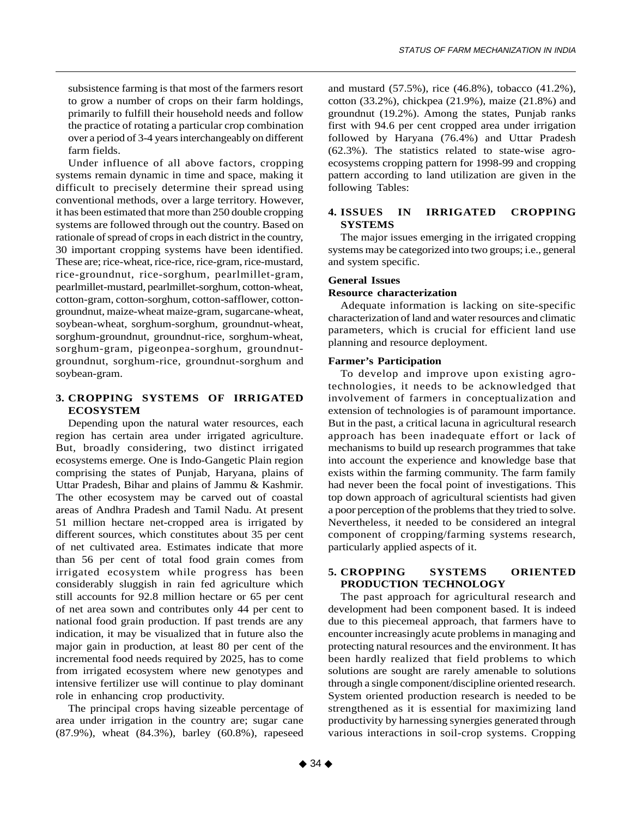subsistence farming is that most of the farmers resort to grow a number of crops on their farm holdings, primarily to fulfill their household needs and follow the practice of rotating a particular crop combination over a period of 3-4 years interchangeably on different farm fields.

Under influence of all above factors, cropping systems remain dynamic in time and space, making it difficult to precisely determine their spread using conventional methods, over a large territory. However, it has been estimated that more than 250 double cropping systems are followed through out the country. Based on rationale of spread of crops in each district in the country, 30 important cropping systems have been identified. These are; rice-wheat, rice-rice, rice-gram, rice-mustard, rice-groundnut, rice-sorghum, pearlmillet-gram, pearlmillet-mustard, pearlmillet-sorghum, cotton-wheat, cotton-gram, cotton-sorghum, cotton-safflower, cottongroundnut, maize-wheat maize-gram, sugarcane-wheat, soybean-wheat, sorghum-sorghum, groundnut-wheat, sorghum-groundnut, groundnut-rice, sorghum-wheat, sorghum-gram, pigeonpea-sorghum, groundnutgroundnut, sorghum-rice, groundnut-sorghum and soybean-gram.

# **3. CROPPING SYSTEMS OF IRRIGATED ECOSYSTEM**

Depending upon the natural water resources, each region has certain area under irrigated agriculture. But, broadly considering, two distinct irrigated ecosystems emerge. One is Indo-Gangetic Plain region comprising the states of Punjab, Haryana, plains of Uttar Pradesh, Bihar and plains of Jammu & Kashmir. The other ecosystem may be carved out of coastal areas of Andhra Pradesh and Tamil Nadu. At present 51 million hectare net-cropped area is irrigated by different sources, which constitutes about 35 per cent of net cultivated area. Estimates indicate that more than 56 per cent of total food grain comes from irrigated ecosystem while progress has been considerably sluggish in rain fed agriculture which still accounts for 92.8 million hectare or 65 per cent of net area sown and contributes only 44 per cent to national food grain production. If past trends are any indication, it may be visualized that in future also the major gain in production, at least 80 per cent of the incremental food needs required by 2025, has to come from irrigated ecosystem where new genotypes and intensive fertilizer use will continue to play dominant role in enhancing crop productivity.

The principal crops having sizeable percentage of area under irrigation in the country are; sugar cane (87.9%), wheat (84.3%), barley (60.8%), rapeseed

and mustard (57.5%), rice (46.8%), tobacco (41.2%), cotton (33.2%), chickpea (21.9%), maize (21.8%) and groundnut (19.2%). Among the states, Punjab ranks first with 94.6 per cent cropped area under irrigation followed by Haryana (76.4%) and Uttar Pradesh (62.3%). The statistics related to state-wise agroecosystems cropping pattern for 1998-99 and cropping pattern according to land utilization are given in the following Tables:

# **4. ISSUES IN IRRIGATED CROPPING SYSTEMS**

The major issues emerging in the irrigated cropping systems may be categorized into two groups; i.e., general and system specific.

# **General Issues**

## **Resource characterization**

Adequate information is lacking on site-specific characterization of land and water resources and climatic parameters, which is crucial for efficient land use planning and resource deployment.

## **Farmer's Participation**

To develop and improve upon existing agrotechnologies, it needs to be acknowledged that involvement of farmers in conceptualization and extension of technologies is of paramount importance. But in the past, a critical lacuna in agricultural research approach has been inadequate effort or lack of mechanisms to build up research programmes that take into account the experience and knowledge base that exists within the farming community. The farm family had never been the focal point of investigations. This top down approach of agricultural scientists had given a poor perception of the problems that they tried to solve. Nevertheless, it needed to be considered an integral component of cropping/farming systems research, particularly applied aspects of it.

# **5. CROPPING SYSTEMS ORIENTED PRODUCTION TECHNOLOGY**

The past approach for agricultural research and development had been component based. It is indeed due to this piecemeal approach, that farmers have to encounter increasingly acute problems in managing and protecting natural resources and the environment. It has been hardly realized that field problems to which solutions are sought are rarely amenable to solutions through a single component/discipline oriented research. System oriented production research is needed to be strengthened as it is essential for maximizing land productivity by harnessing synergies generated through various interactions in soil-crop systems. Cropping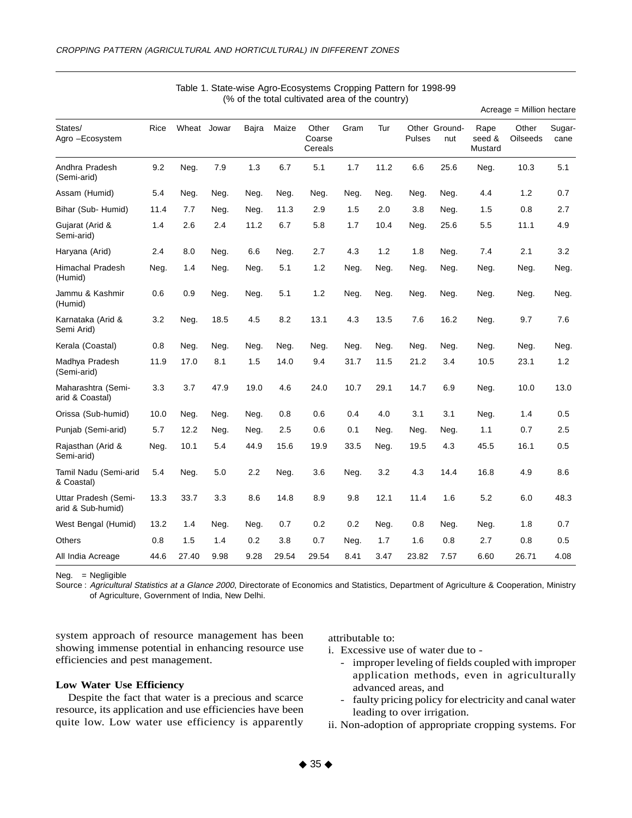|                                           |      |             |      |       |       |                            |      |      |        |                      |                           | Acreage = Million hectare |                |
|-------------------------------------------|------|-------------|------|-------|-------|----------------------------|------|------|--------|----------------------|---------------------------|---------------------------|----------------|
| States/<br>Agro -Ecosystem                | Rice | Wheat Jowar |      | Bajra | Maize | Other<br>Coarse<br>Cereals | Gram | Tur  | Pulses | Other Ground-<br>nut | Rape<br>seed &<br>Mustard | Other<br><b>Oilseeds</b>  | Sugar-<br>cane |
| Andhra Pradesh<br>(Semi-arid)             | 9.2  | Neg.        | 7.9  | 1.3   | 6.7   | 5.1                        | 1.7  | 11.2 | 6.6    | 25.6                 | Neg.                      | 10.3                      | 5.1            |
| Assam (Humid)                             | 5.4  | Neg.        | Neg. | Neg.  | Neg.  | Neg.                       | Neg. | Neg. | Neg.   | Neg.                 | 4.4                       | 1.2                       | 0.7            |
| Bihar (Sub- Humid)                        | 11.4 | 7.7         | Neg. | Neg.  | 11.3  | 2.9                        | 1.5  | 2.0  | 3.8    | Neg.                 | 1.5                       | 0.8                       | 2.7            |
| Gujarat (Arid &<br>Semi-arid)             | 1.4  | 2.6         | 2.4  | 11.2  | 6.7   | 5.8                        | 1.7  | 10.4 | Neg.   | 25.6                 | 5.5                       | 11.1                      | 4.9            |
| Haryana (Arid)                            | 2.4  | 8.0         | Neg. | 6.6   | Neg.  | 2.7                        | 4.3  | 1.2  | 1.8    | Neg.                 | 7.4                       | 2.1                       | 3.2            |
| <b>Himachal Pradesh</b><br>(Humid)        | Neg. | 1.4         | Neg. | Neg.  | 5.1   | 1.2                        | Neg. | Neg. | Neg.   | Neg.                 | Neg.                      | Neg.                      | Neg.           |
| Jammu & Kashmir<br>(Humid)                | 0.6  | 0.9         | Neg. | Neg.  | 5.1   | 1.2                        | Neg. | Neg. | Neg.   | Neg.                 | Neg.                      | Neg.                      | Neg.           |
| Karnataka (Arid &<br>Semi Arid)           | 3.2  | Neg.        | 18.5 | 4.5   | 8.2   | 13.1                       | 4.3  | 13.5 | 7.6    | 16.2                 | Neg.                      | 9.7                       | 7.6            |
| Kerala (Coastal)                          | 0.8  | Neg.        | Neg. | Neg.  | Neg.  | Neg.                       | Neg. | Neg. | Neg.   | Neg.                 | Neg.                      | Neg.                      | Neg.           |
| Madhya Pradesh<br>(Semi-arid)             | 11.9 | 17.0        | 8.1  | 1.5   | 14.0  | 9.4                        | 31.7 | 11.5 | 21.2   | 3.4                  | 10.5                      | 23.1                      | 1.2            |
| Maharashtra (Semi-<br>arid & Coastal)     | 3.3  | 3.7         | 47.9 | 19.0  | 4.6   | 24.0                       | 10.7 | 29.1 | 14.7   | 6.9                  | Neg.                      | 10.0                      | 13.0           |
| Orissa (Sub-humid)                        | 10.0 | Neg.        | Neg. | Neg.  | 0.8   | 0.6                        | 0.4  | 4.0  | 3.1    | 3.1                  | Neg.                      | 1.4                       | 0.5            |
| Punjab (Semi-arid)                        | 5.7  | 12.2        | Neg. | Neg.  | 2.5   | 0.6                        | 0.1  | Neg. | Neg.   | Neg.                 | 1.1                       | 0.7                       | 2.5            |
| Rajasthan (Arid &<br>Semi-arid)           | Neg. | 10.1        | 5.4  | 44.9  | 15.6  | 19.9                       | 33.5 | Neg. | 19.5   | 4.3                  | 45.5                      | 16.1                      | 0.5            |
| Tamil Nadu (Semi-arid<br>& Coastal)       | 5.4  | Neg.        | 5.0  | 2.2   | Neg.  | 3.6                        | Neg. | 3.2  | 4.3    | 14.4                 | 16.8                      | 4.9                       | 8.6            |
| Uttar Pradesh (Semi-<br>arid & Sub-humid) | 13.3 | 33.7        | 3.3  | 8.6   | 14.8  | 8.9                        | 9.8  | 12.1 | 11.4   | 1.6                  | 5.2                       | 6.0                       | 48.3           |
| West Bengal (Humid)                       | 13.2 | 1.4         | Neg. | Neg.  | 0.7   | 0.2                        | 0.2  | Neg. | 0.8    | Neg.                 | Neg.                      | 1.8                       | 0.7            |
| Others                                    | 0.8  | 1.5         | 1.4  | 0.2   | 3.8   | 0.7                        | Neg. | 1.7  | 1.6    | 0.8                  | 2.7                       | 0.8                       | 0.5            |
| All India Acreage                         | 44.6 | 27.40       | 9.98 | 9.28  | 29.54 | 29.54                      | 8.41 | 3.47 | 23.82  | 7.57                 | 6.60                      | 26.71                     | 4.08           |

## Table 1. State-wise Agro-Ecosystems Cropping Pattern for 1998-99 (% of the total cultivated area of the country)

Neg. = Negligible

Source : Agricultural Statistics at a Glance 2000, Directorate of Economics and Statistics, Department of Agriculture & Cooperation, Ministry of Agriculture, Government of India, New Delhi.

system approach of resource management has been showing immense potential in enhancing resource use efficiencies and pest management.

#### attributable to:

i. Excessive use of water due to -

- improper leveling of fields coupled with improper application methods, even in agriculturally advanced areas, and
- faulty pricing policy for electricity and canal water leading to over irrigation.
- ii. Non-adoption of appropriate cropping systems. For

#### **Low Water Use Efficiency**

Despite the fact that water is a precious and scarce resource, its application and use efficiencies have been quite low. Low water use efficiency is apparently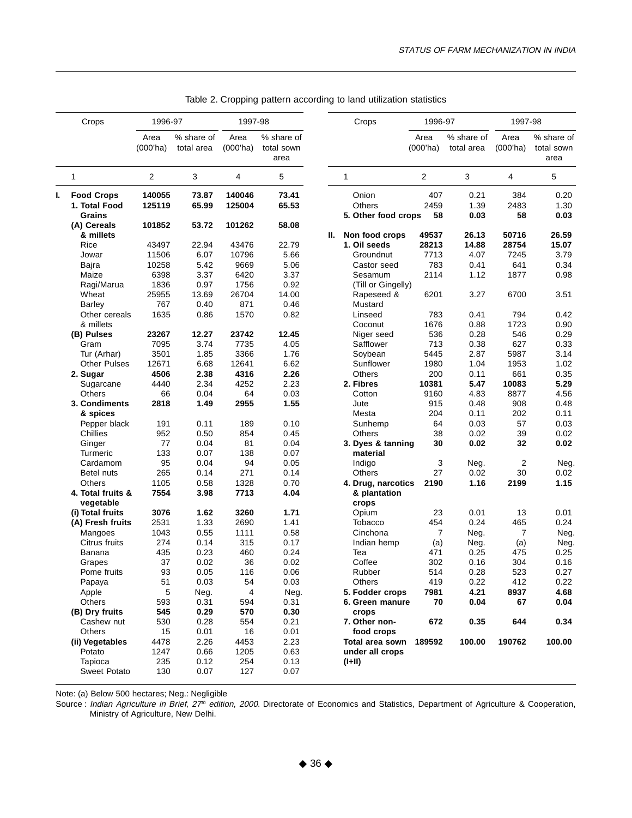|    | Crops                                               | 1996-97             |                          | 1997-98             |                                  |    | Crops                                  | 1996-97             |                          | 1997-98             |                                  |
|----|-----------------------------------------------------|---------------------|--------------------------|---------------------|----------------------------------|----|----------------------------------------|---------------------|--------------------------|---------------------|----------------------------------|
|    |                                                     | Area<br>$(000'$ ha) | % share of<br>total area | Area<br>$(000'$ ha) | % share of<br>total sown<br>area |    |                                        | Area<br>$(000'$ ha) | % share of<br>total area | Area<br>$(000'$ ha) | % share of<br>total sown<br>area |
|    | 1                                                   | 2                   | 3                        | 4                   | 5                                |    | $\mathbf{1}$                           | 2                   | 3                        | 4                   | 5                                |
| ı. | <b>Food Crops</b><br>1. Total Food<br><b>Grains</b> | 140055<br>125119    | 73.87<br>65.99           | 140046<br>125004    | 73.41<br>65.53                   |    | Onion<br>Others<br>5. Other food crops | 407<br>2459<br>58   | 0.21<br>1.39<br>0.03     | 384<br>2483<br>58   | 0.20<br>1.30<br>0.03             |
|    | (A) Cereals                                         | 101852              | 53.72                    | 101262              | 58.08                            |    |                                        |                     |                          |                     |                                  |
|    | & millets<br>Rice                                   | 43497               | 22.94                    | 43476               | 22.79                            | Ш. | Non food crops<br>1. Oil seeds         | 49537<br>28213      | 26.13<br>14.88           | 50716<br>28754      | 26.59<br>15.07                   |
|    | Jowar                                               | 11506               | 6.07                     | 10796               | 5.66                             |    | Groundnut                              | 7713                | 4.07                     | 7245                | 3.79                             |
|    | Bajra                                               | 10258               | 5.42                     | 9669                | 5.06                             |    | Castor seed                            | 783                 | 0.41                     | 641                 | 0.34                             |
|    | Maize                                               | 6398                | 3.37                     | 6420                | 3.37                             |    | Sesamum                                | 2114                | 1.12                     | 1877                | 0.98                             |
|    | Ragi/Marua                                          | 1836                | 0.97                     | 1756                | 0.92                             |    | (Till or Gingelly)                     |                     |                          |                     |                                  |
|    | Wheat                                               | 25955               | 13.69                    | 26704               | 14.00                            |    | Rapeseed &                             | 6201                | 3.27                     | 6700                | 3.51                             |
|    | <b>Barley</b>                                       | 767                 | 0.40                     | 871                 | 0.46                             |    | Mustard                                |                     |                          |                     |                                  |
|    | Other cereals                                       | 1635                | 0.86                     | 1570                | 0.82                             |    | Linseed                                | 783                 | 0.41                     | 794                 | 0.42                             |
|    | & millets                                           |                     |                          |                     |                                  |    | Coconut                                | 1676                | 0.88                     | 1723                | 0.90                             |
|    | (B) Pulses                                          | 23267               | 12.27                    | 23742               | 12.45                            |    | Niger seed                             | 536                 | 0.28                     | 546                 | 0.29                             |
|    | Gram                                                | 7095                | 3.74                     | 7735                | 4.05                             |    | Safflower                              | 713                 | 0.38                     | 627                 | 0.33                             |
|    | Tur (Arhar)                                         | 3501                | 1.85                     | 3366                | 1.76                             |    | Soybean                                | 5445                | 2.87                     | 5987                | 3.14                             |
|    | <b>Other Pulses</b>                                 | 12671               | 6.68                     | 12641               | 6.62                             |    | Sunflower                              | 1980                | 1.04                     | 1953                | 1.02                             |
|    | 2. Sugar                                            | 4506                | 2.38                     | 4316                | 2.26                             |    | Others                                 | 200                 | 0.11                     | 661                 | 0.35                             |
|    | Sugarcane                                           | 4440                | 2.34                     | 4252                | 2.23                             |    | 2. Fibres                              | 10381               | 5.47                     | 10083               | 5.29                             |
|    | <b>Others</b>                                       | 66                  | 0.04                     | 64                  | 0.03                             |    | Cotton                                 | 9160                | 4.83                     | 8877                | 4.56                             |
|    | 3. Condiments                                       | 2818                | 1.49                     | 2955                | 1.55                             |    | Jute                                   | 915                 | 0.48                     | 908                 | 0.48                             |
|    | & spices                                            |                     |                          |                     |                                  |    | Mesta                                  | 204                 | 0.11                     | 202                 | 0.11                             |
|    | Pepper black                                        | 191                 | 0.11                     | 189                 | 0.10                             |    | Sunhemp                                | 64                  | 0.03                     | 57                  | 0.03                             |
|    | Chillies                                            | 952                 | 0.50                     | 854                 | 0.45                             |    | Others                                 | 38                  | 0.02                     | 39                  | 0.02                             |
|    | Ginger                                              | 77                  | 0.04                     | 81                  | 0.04                             |    | 3. Dyes & tanning                      | 30                  | 0.02                     | 32                  | 0.02                             |
|    | <b>Turmeric</b>                                     | 133                 | 0.07                     | 138                 | 0.07                             |    | material                               |                     |                          |                     |                                  |
|    | Cardamom                                            | 95                  | 0.04                     | 94                  | 0.05                             |    | Indigo                                 | 3                   | Neg.                     | 2                   | Neg.                             |
|    | Betel nuts                                          | 265                 | 0.14                     | 271                 | 0.14                             |    | Others                                 | 27                  | 0.02                     | 30                  | 0.02                             |
|    | <b>Others</b>                                       | 1105                | 0.58                     | 1328                | 0.70                             |    | 4. Drug, narcotics                     | 2190                | 1.16                     | 2199                | 1.15                             |
|    | 4. Total fruits &                                   | 7554                | 3.98                     | 7713                | 4.04                             |    | & plantation                           |                     |                          |                     |                                  |
|    | vegetable                                           |                     |                          |                     |                                  |    | crops                                  |                     |                          |                     |                                  |
|    | (i) Total fruits                                    | 3076                | 1.62                     | 3260                | 1.71                             |    | Opium                                  | 23                  | 0.01                     | 13                  | 0.01                             |
|    | (A) Fresh fruits                                    | 2531                | 1.33                     | 2690                | 1.41                             |    | Tobacco                                | 454                 | 0.24                     | 465                 | 0.24                             |
|    | Mangoes                                             | 1043                | 0.55                     | 1111                | 0.58                             |    | Cinchona                               | $\overline{7}$      | Neg.                     | 7                   | Neg.                             |
|    | Citrus fruits                                       | 274                 | 0.14                     | 315                 | 0.17                             |    | Indian hemp                            | (a)                 | Neg.                     | (a)                 | Neg.                             |
|    | Banana                                              | 435                 | 0.23                     | 460                 | 0.24                             |    | Tea                                    | 471                 | 0.25                     | 475                 | 0.25                             |
|    | Grapes                                              | 37                  | 0.02                     | 36                  | 0.02                             |    | Coffee                                 | 302                 | 0.16                     | 304                 | 0.16                             |
|    | Pome fruits                                         | 93                  | 0.05                     | 116                 | 0.06                             |    | Rubber                                 | 514                 | 0.28                     | 523                 | 0.27                             |
|    | Papaya                                              | 51                  | 0.03                     | 54                  | 0.03                             |    | Others                                 | 419                 | 0.22                     | 412                 | 0.22                             |
|    | Apple                                               | 5                   | Neg.                     | 4                   | Neg.                             |    | 5. Fodder crops                        | 7981                | 4.21                     | 8937                | 4.68                             |
|    | Others                                              | 593                 | 0.31                     | 594                 | 0.31                             |    | 6. Green manure                        | 70                  | 0.04                     | 67                  | 0.04                             |
|    | (B) Dry fruits                                      | 545                 | 0.29                     | 570                 | 0.30                             |    | crops                                  |                     |                          |                     |                                  |
|    | Cashew nut                                          | 530                 | 0.28                     | 554                 | 0.21                             |    | 7. Other non-                          | 672                 | 0.35                     | 644                 | 0.34                             |
|    | Others                                              | 15                  | 0.01                     | 16                  | 0.01                             |    | food crops                             |                     |                          |                     |                                  |
|    | (ii) Vegetables                                     | 4478                | 2.26                     | 4453                | 2.23                             |    | Total area sown                        | 189592              | 100.00                   | 190762              | 100.00                           |
|    | Potato                                              | 1247                | 0.66                     | 1205                | 0.63                             |    | under all crops                        |                     |                          |                     |                                  |
|    | Tapioca                                             | 235                 | 0.12                     | 254                 | 0.13                             |    | $(I+II)$                               |                     |                          |                     |                                  |
|    | Sweet Potato                                        | 130                 | 0.07                     | 127                 | 0.07                             |    |                                        |                     |                          |                     |                                  |

Table 2. Cropping pattern according to land utilization statistics

Note: (a) Below 500 hectares; Neg.: Negligible

Source : Indian Agriculture in Brief, 27<sup>th</sup> edition, 2000. Directorate of Economics and Statistics, Department of Agriculture & Cooperation, Ministry of Agriculture, New Delhi.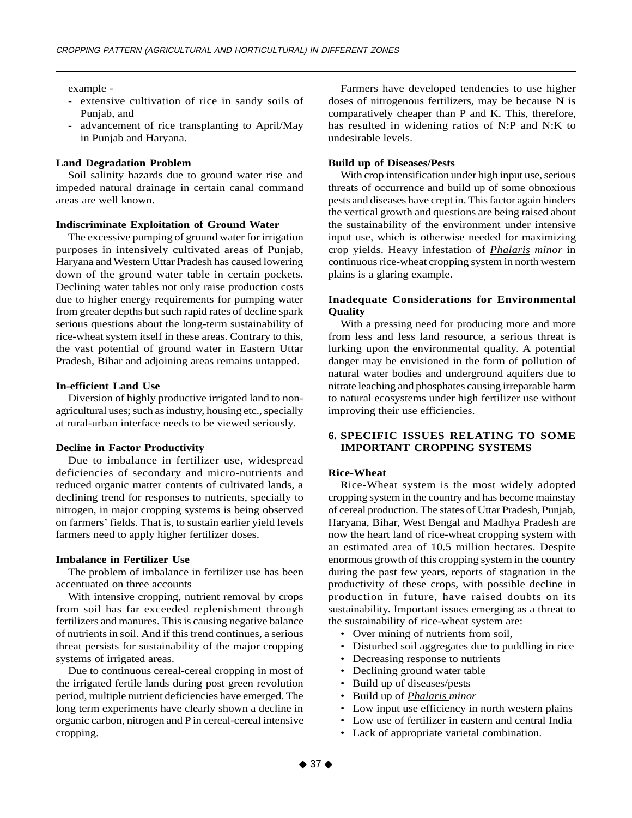example -

- extensive cultivation of rice in sandy soils of Punjab, and
- advancement of rice transplanting to April/May in Punjab and Haryana.

#### **Land Degradation Problem**

Soil salinity hazards due to ground water rise and impeded natural drainage in certain canal command areas are well known.

# **Indiscriminate Exploitation of Ground Water**

The excessive pumping of ground water for irrigation purposes in intensively cultivated areas of Punjab, Haryana and Western Uttar Pradesh has caused lowering down of the ground water table in certain pockets. Declining water tables not only raise production costs due to higher energy requirements for pumping water from greater depths but such rapid rates of decline spark serious questions about the long-term sustainability of rice-wheat system itself in these areas. Contrary to this, the vast potential of ground water in Eastern Uttar Pradesh, Bihar and adjoining areas remains untapped.

#### **In-efficient Land Use**

Diversion of highly productive irrigated land to nonagricultural uses; such as industry, housing etc., specially at rural-urban interface needs to be viewed seriously.

## **Decline in Factor Productivity**

Due to imbalance in fertilizer use, widespread deficiencies of secondary and micro-nutrients and reduced organic matter contents of cultivated lands, a declining trend for responses to nutrients, specially to nitrogen, in major cropping systems is being observed on farmers' fields. That is, to sustain earlier yield levels farmers need to apply higher fertilizer doses.

#### **Imbalance in Fertilizer Use**

The problem of imbalance in fertilizer use has been accentuated on three accounts

With intensive cropping, nutrient removal by crops from soil has far exceeded replenishment through fertilizers and manures. This is causing negative balance of nutrients in soil. And if this trend continues, a serious threat persists for sustainability of the major cropping systems of irrigated areas.

Due to continuous cereal-cereal cropping in most of the irrigated fertile lands during post green revolution period, multiple nutrient deficiencies have emerged. The long term experiments have clearly shown a decline in organic carbon, nitrogen and P in cereal-cereal intensive cropping.

Farmers have developed tendencies to use higher doses of nitrogenous fertilizers, may be because N is comparatively cheaper than P and K. This, therefore, has resulted in widening ratios of N:P and N:K to undesirable levels.

#### **Build up of Diseases/Pests**

With crop intensification under high input use, serious threats of occurrence and build up of some obnoxious pests and diseases have crept in. This factor again hinders the vertical growth and questions are being raised about the sustainability of the environment under intensive input use, which is otherwise needed for maximizing crop yields. Heavy infestation of *Phalaris minor* in continuous rice-wheat cropping system in north western plains is a glaring example.

# **Inadequate Considerations for Environmental Quality**

With a pressing need for producing more and more from less and less land resource, a serious threat is lurking upon the environmental quality. A potential danger may be envisioned in the form of pollution of natural water bodies and underground aquifers due to nitrate leaching and phosphates causing irreparable harm to natural ecosystems under high fertilizer use without improving their use efficiencies.

## **6. SPECIFIC ISSUES RELATING TO SOME IMPORTANT CROPPING SYSTEMS**

#### **Rice-Wheat**

Rice-Wheat system is the most widely adopted cropping system in the country and has become mainstay of cereal production. The states of Uttar Pradesh, Punjab, Haryana, Bihar, West Bengal and Madhya Pradesh are now the heart land of rice-wheat cropping system with an estimated area of 10.5 million hectares. Despite enormous growth of this cropping system in the country during the past few years, reports of stagnation in the productivity of these crops, with possible decline in production in future, have raised doubts on its sustainability. Important issues emerging as a threat to the sustainability of rice-wheat system are:

- Over mining of nutrients from soil,
- Disturbed soil aggregates due to puddling in rice
- Decreasing response to nutrients
- Declining ground water table
- Build up of diseases/pests
- Build up of *Phalaris minor*
- Low input use efficiency in north western plains
- Low use of fertilizer in eastern and central India
- Lack of appropriate varietal combination.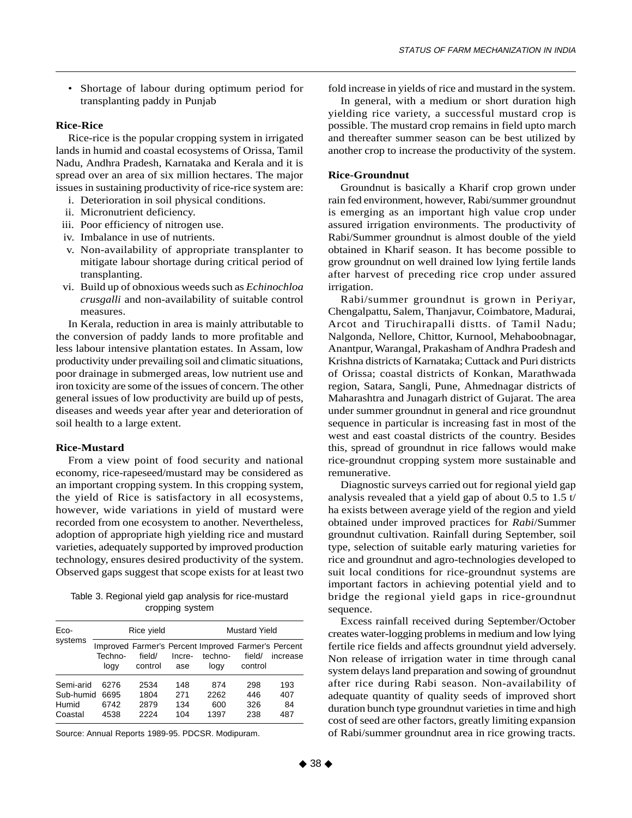• Shortage of labour during optimum period for transplanting paddy in Punjab

# **Rice-Rice**

Rice-rice is the popular cropping system in irrigated lands in humid and coastal ecosystems of Orissa, Tamil Nadu, Andhra Pradesh, Karnataka and Kerala and it is spread over an area of six million hectares. The major issues in sustaining productivity of rice-rice system are:

- i. Deterioration in soil physical conditions.
- ii. Micronutrient deficiency.
- iii. Poor efficiency of nitrogen use.
- iv. Imbalance in use of nutrients.
- v. Non-availability of appropriate transplanter to mitigate labour shortage during critical period of transplanting.
- vi. Build up of obnoxious weeds such as *Echinochloa crusgalli* and non-availability of suitable control measures.

In Kerala, reduction in area is mainly attributable to the conversion of paddy lands to more profitable and less labour intensive plantation estates. In Assam, low productivity under prevailing soil and climatic situations, poor drainage in submerged areas, low nutrient use and iron toxicity are some of the issues of concern. The other general issues of low productivity are build up of pests, diseases and weeds year after year and deterioration of soil health to a large extent.

## **Rice-Mustard**

From a view point of food security and national economy, rice-rapeseed/mustard may be considered as an important cropping system. In this cropping system, the yield of Rice is satisfactory in all ecosystems, however, wide variations in yield of mustard were recorded from one ecosystem to another. Nevertheless, adoption of appropriate high yielding rice and mustard varieties, adequately supported by improved production technology, ensures desired productivity of the system. Observed gaps suggest that scope exists for at least two

Table 3. Regional yield gap analysis for rice-mustard cropping system

| Eco-      |                 | Rice yield        |               | <b>Mustard Yield</b>                                                   |                   |          |  |  |
|-----------|-----------------|-------------------|---------------|------------------------------------------------------------------------|-------------------|----------|--|--|
| systems   | Techno-<br>logy | field/<br>control | Incre-<br>ase | Improved Farmer's Percent Improved Farmer's Percent<br>techno-<br>logy | field/<br>control | increase |  |  |
| Semi-arid | 6276            | 2534              | 148           | 874                                                                    | 298               | 193      |  |  |
| Sub-humid | 6695            | 1804              | 271           | 2262                                                                   | 446               | 407      |  |  |
| Humid     | 6742            | 2879              | 134           | 600                                                                    | 326               | 84       |  |  |
| Coastal   | 4538            | 2224              | 104           | 1397                                                                   | 238               | 487      |  |  |

Source: Annual Reports 1989-95. PDCSR. Modipuram.

fold increase in yields of rice and mustard in the system.

In general, with a medium or short duration high yielding rice variety, a successful mustard crop is possible. The mustard crop remains in field upto march and thereafter summer season can be best utilized by another crop to increase the productivity of the system.

#### **Rice-Groundnut**

Groundnut is basically a Kharif crop grown under rain fed environment, however, Rabi/summer groundnut is emerging as an important high value crop under assured irrigation environments. The productivity of Rabi/Summer groundnut is almost double of the yield obtained in Kharif season. It has become possible to grow groundnut on well drained low lying fertile lands after harvest of preceding rice crop under assured irrigation.

Rabi/summer groundnut is grown in Periyar, Chengalpattu, Salem, Thanjavur, Coimbatore, Madurai, Arcot and Tiruchirapalli distts. of Tamil Nadu; Nalgonda, Nellore, Chittor, Kurnool, Mehaboobnagar, Anantpur, Warangal, Prakasham of Andhra Pradesh and Krishna districts of Karnataka; Cuttack and Puri districts of Orissa; coastal districts of Konkan, Marathwada region, Satara, Sangli, Pune, Ahmednagar districts of Maharashtra and Junagarh district of Gujarat. The area under summer groundnut in general and rice groundnut sequence in particular is increasing fast in most of the west and east coastal districts of the country. Besides this, spread of groundnut in rice fallows would make rice-groundnut cropping system more sustainable and remunerative.

Diagnostic surveys carried out for regional yield gap analysis revealed that a yield gap of about 0.5 to 1.5 t/ ha exists between average yield of the region and yield obtained under improved practices for *Rabi*/Summer groundnut cultivation. Rainfall during September, soil type, selection of suitable early maturing varieties for rice and groundnut and agro-technologies developed to suit local conditions for rice-groundnut systems are important factors in achieving potential yield and to bridge the regional yield gaps in rice-groundnut sequence.

Excess rainfall received during September/October creates water-logging problems in medium and low lying fertile rice fields and affects groundnut yield adversely. Non release of irrigation water in time through canal system delays land preparation and sowing of groundnut after rice during Rabi season. Non-availability of adequate quantity of quality seeds of improved short duration bunch type groundnut varieties in time and high cost of seed are other factors, greatly limiting expansion of Rabi/summer groundnut area in rice growing tracts.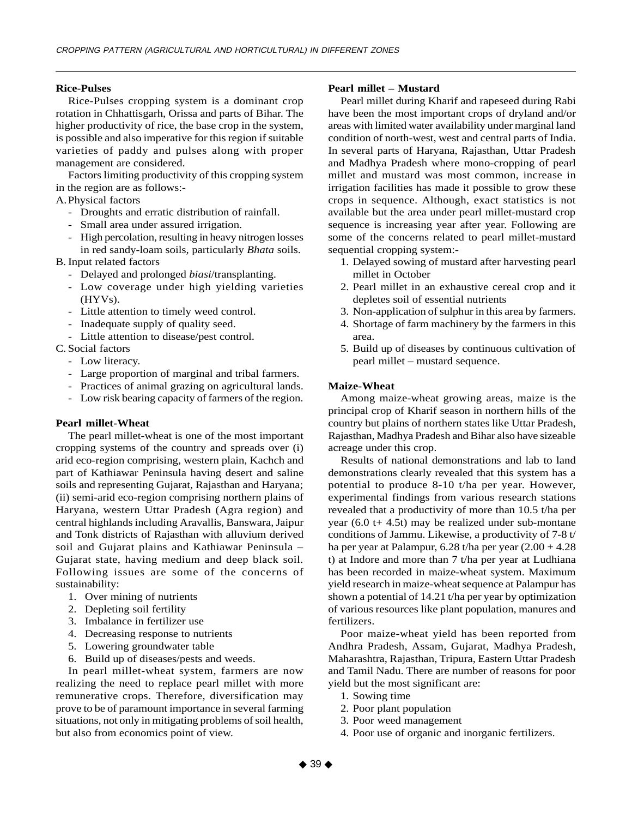#### **Rice-Pulses**

Rice-Pulses cropping system is a dominant crop rotation in Chhattisgarh, Orissa and parts of Bihar. The higher productivity of rice, the base crop in the system, is possible and also imperative for this region if suitable varieties of paddy and pulses along with proper management are considered.

Factors limiting productivity of this cropping system in the region are as follows:-

# A.Physical factors

- Droughts and erratic distribution of rainfall.
- Small area under assured irrigation.
- High percolation, resulting in heavy nitrogen losses in red sandy-loam soils, particularly *Bhata* soils.

## B. Input related factors

- Delayed and prolonged *biasi*/transplanting.
- Low coverage under high yielding varieties (HYVs).
- Little attention to timely weed control.
- Inadequate supply of quality seed.
- Little attention to disease/pest control.

## C. Social factors

- Low literacy.
- Large proportion of marginal and tribal farmers.
- Practices of animal grazing on agricultural lands.
- Low risk bearing capacity of farmers of the region.

#### **Pearl millet-Wheat**

The pearl millet-wheat is one of the most important cropping systems of the country and spreads over (i) arid eco-region comprising, western plain, Kachch and part of Kathiawar Peninsula having desert and saline soils and representing Gujarat, Rajasthan and Haryana; (ii) semi-arid eco-region comprising northern plains of Haryana, western Uttar Pradesh (Agra region) and central highlands including Aravallis, Banswara, Jaipur and Tonk districts of Rajasthan with alluvium derived soil and Gujarat plains and Kathiawar Peninsula – Gujarat state, having medium and deep black soil. Following issues are some of the concerns of sustainability:

- 1. Over mining of nutrients
- 2. Depleting soil fertility
- 3. Imbalance in fertilizer use
- 4. Decreasing response to nutrients
- 5. Lowering groundwater table
- 6. Build up of diseases/pests and weeds.

In pearl millet-wheat system, farmers are now realizing the need to replace pearl millet with more remunerative crops. Therefore, diversification may prove to be of paramount importance in several farming situations, not only in mitigating problems of soil health, but also from economics point of view.

#### **Pearl millet – Mustard**

Pearl millet during Kharif and rapeseed during Rabi have been the most important crops of dryland and/or areas with limited water availability under marginal land condition of north-west, west and central parts of India. In several parts of Haryana, Rajasthan, Uttar Pradesh and Madhya Pradesh where mono-cropping of pearl millet and mustard was most common, increase in irrigation facilities has made it possible to grow these crops in sequence. Although, exact statistics is not available but the area under pearl millet-mustard crop sequence is increasing year after year. Following are some of the concerns related to pearl millet-mustard sequential cropping system:-

- 1. Delayed sowing of mustard after harvesting pearl millet in October
- 2. Pearl millet in an exhaustive cereal crop and it depletes soil of essential nutrients
- 3. Non-application of sulphur in this area by farmers.
- 4. Shortage of farm machinery by the farmers in this area.
- 5. Build up of diseases by continuous cultivation of pearl millet – mustard sequence.

#### **Maize-Wheat**

Among maize-wheat growing areas, maize is the principal crop of Kharif season in northern hills of the country but plains of northern states like Uttar Pradesh, Rajasthan, Madhya Pradesh and Bihar also have sizeable acreage under this crop.

Results of national demonstrations and lab to land demonstrations clearly revealed that this system has a potential to produce 8-10 t/ha per year. However, experimental findings from various research stations revealed that a productivity of more than 10.5 t/ha per year  $(6.0 t+ 4.5t)$  may be realized under sub-montane conditions of Jammu. Likewise, a productivity of 7-8 t/ ha per year at Palampur,  $6.28$  t/ha per year  $(2.00 + 4.28)$ t) at Indore and more than 7 t/ha per year at Ludhiana has been recorded in maize-wheat system. Maximum yield research in maize-wheat sequence at Palampur has shown a potential of 14.21 t/ha per year by optimization of various resources like plant population, manures and fertilizers.

Poor maize-wheat yield has been reported from Andhra Pradesh, Assam, Gujarat, Madhya Pradesh, Maharashtra, Rajasthan, Tripura, Eastern Uttar Pradesh and Tamil Nadu. There are number of reasons for poor yield but the most significant are:

- 1. Sowing time
- 2. Poor plant population
- 3. Poor weed management
- 4. Poor use of organic and inorganic fertilizers.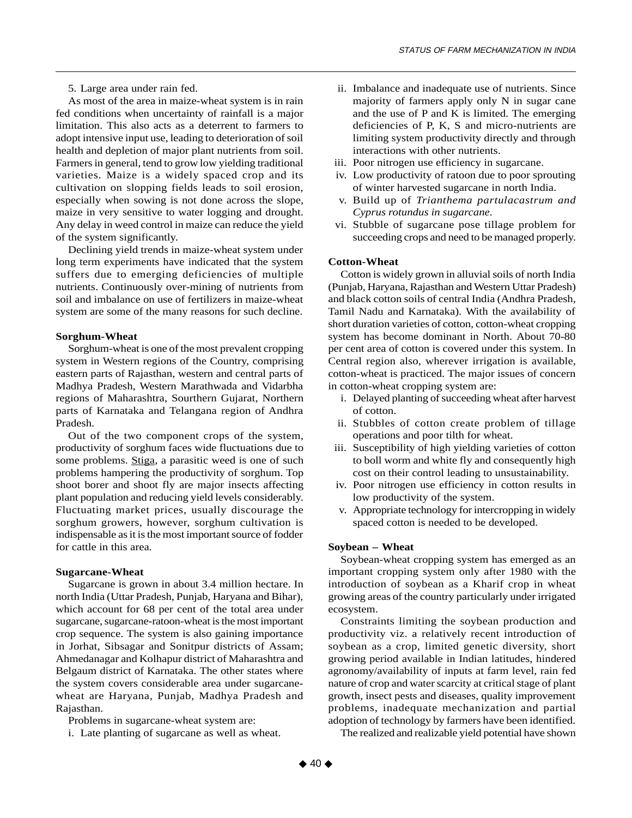5. Large area under rain fed.

As most of the area in maize-wheat system is in rain fed conditions when uncertainty of rainfall is a major limitation. This also acts as a deterrent to farmers to adopt intensive input use, leading to deterioration of soil health and depletion of major plant nutrients from soil. Farmers in general, tend to grow low yielding traditional varieties. Maize is a widely spaced crop and its cultivation on slopping fields leads to soil erosion, especially when sowing is not done across the slope, maize in very sensitive to water logging and drought. Any delay in weed control in maize can reduce the yield of the system significantly.

Declining yield trends in maize-wheat system under long term experiments have indicated that the system suffers due to emerging deficiencies of multiple nutrients. Continuously over-mining of nutrients from soil and imbalance on use of fertilizers in maize-wheat system are some of the many reasons for such decline.

#### **Sorghum-Wheat**

Sorghum-wheat is one of the most prevalent cropping system in Western regions of the Country, comprising eastern parts of Rajasthan, western and central parts of Madhya Pradesh, Western Marathwada and Vidarbha regions of Maharashtra, Sourthern Gujarat, Northern parts of Karnataka and Telangana region of Andhra Pradesh.

Out of the two component crops of the system, productivity of sorghum faces wide fluctuations due to some problems. Stiga, a parasitic weed is one of such problems hampering the productivity of sorghum. Top shoot borer and shoot fly are major insects affecting plant population and reducing yield levels considerably. Fluctuating market prices, usually discourage the sorghum growers, however, sorghum cultivation is indispensable as it is the most important source of fodder for cattle in this area.

#### **Sugarcane-Wheat**

Sugarcane is grown in about 3.4 million hectare. In north India (Uttar Pradesh, Punjab, Haryana and Bihar), which account for 68 per cent of the total area under sugarcane, sugarcane-ratoon-wheat is the most important crop sequence. The system is also gaining importance in Jorhat, Sibsagar and Sonitpur districts of Assam; Ahmedanagar and Kolhapur district of Maharashtra and Belgaum district of Karnataka. The other states where the system covers considerable area under sugarcanewheat are Haryana, Punjab, Madhya Pradesh and Rajasthan.

Problems in sugarcane-wheat system are:

i. Late planting of sugarcane as well as wheat.

- ii. Imbalance and inadequate use of nutrients. Since majority of farmers apply only N in sugar cane and the use of P and K is limited. The emerging deficiencies of P, K, S and micro-nutrients are limiting system productivity directly and through interactions with other nutrients.
- iii. Poor nitrogen use efficiency in sugarcane.
- iv. Low productivity of ratoon due to poor sprouting of winter harvested sugarcane in north India.
- v. Build up of *Trianthema partulacastrum and Cyprus rotundus in sugarcane.*
- vi. Stubble of sugarcane pose tillage problem for succeeding crops and need to be managed properly.

#### **Cotton-Wheat**

Cotton is widely grown in alluvial soils of north India (Punjab, Haryana, Rajasthan and Western Uttar Pradesh) and black cotton soils of central India (Andhra Pradesh, Tamil Nadu and Karnataka). With the availability of short duration varieties of cotton, cotton-wheat cropping system has become dominant in North. About 70-80 per cent area of cotton is covered under this system. In Central region also, wherever irrigation is available, cotton-wheat is practiced. The major issues of concern in cotton-wheat cropping system are:

- i. Delayed planting of succeeding wheat after harvest of cotton.
- ii. Stubbles of cotton create problem of tillage operations and poor tilth for wheat.
- iii. Susceptibility of high yielding varieties of cotton to boll worm and white fly and consequently high cost on their control leading to unsustainability.
- iv. Poor nitrogen use efficiency in cotton results in low productivity of the system.
- v. Appropriate technology for intercropping in widely spaced cotton is needed to be developed.

#### **Soybean – Wheat**

Soybean-wheat cropping system has emerged as an important cropping system only after 1980 with the introduction of soybean as a Kharif crop in wheat growing areas of the country particularly under irrigated ecosystem.

Constraints limiting the soybean production and productivity viz. a relatively recent introduction of soybean as a crop, limited genetic diversity, short growing period available in Indian latitudes, hindered agronomy/availability of inputs at farm level, rain fed nature of crop and water scarcity at critical stage of plant growth, insect pests and diseases, quality improvement problems, inadequate mechanization and partial adoption of technology by farmers have been identified.

The realized and realizable yield potential have shown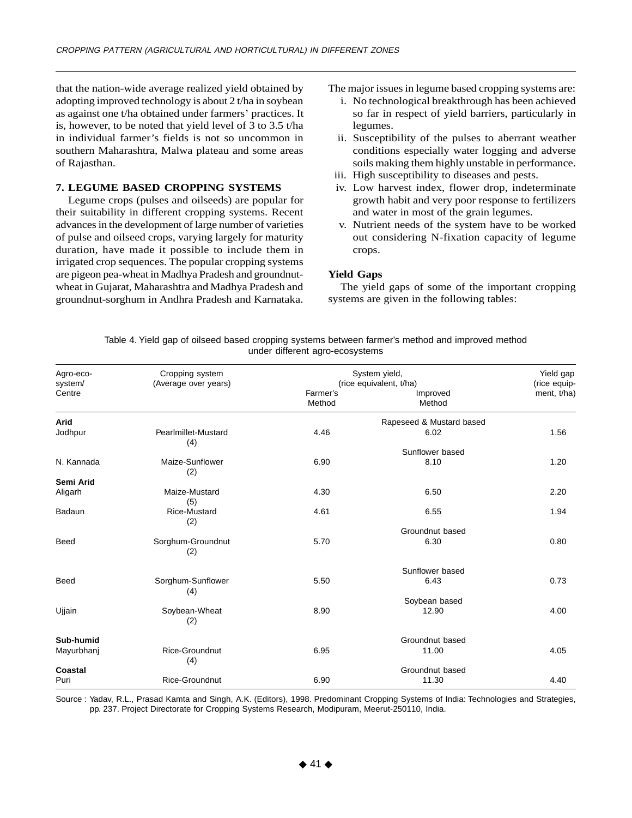that the nation-wide average realized yield obtained by adopting improved technology is about 2 t/ha in soybean as against one t/ha obtained under farmers' practices. It is, however, to be noted that yield level of 3 to 3.5 t/ha in individual farmer's fields is not so uncommon in southern Maharashtra, Malwa plateau and some areas of Rajasthan.

## **7. LEGUME BASED CROPPING SYSTEMS**

Legume crops (pulses and oilseeds) are popular for their suitability in different cropping systems. Recent advances in the development of large number of varieties of pulse and oilseed crops, varying largely for maturity duration, have made it possible to include them in irrigated crop sequences. The popular cropping systems are pigeon pea-wheat in Madhya Pradesh and groundnutwheat in Gujarat, Maharashtra and Madhya Pradesh and groundnut-sorghum in Andhra Pradesh and Karnataka.

The major issues in legume based cropping systems are:

- i. No technological breakthrough has been achieved so far in respect of yield barriers, particularly in legumes.
- ii. Susceptibility of the pulses to aberrant weather conditions especially water logging and adverse soils making them highly unstable in performance.
- iii. High susceptibility to diseases and pests.
- iv. Low harvest index, flower drop, indeterminate growth habit and very poor response to fertilizers and water in most of the grain legumes.
- v. Nutrient needs of the system have to be worked out considering N-fixation capacity of legume crops.

#### **Yield Gaps**

The yield gaps of some of the important cropping systems are given in the following tables:

Table 4. Yield gap of oilseed based cropping systems between farmer's method and improved method under different agro-ecosystems

| Agro-eco-<br>system/ | Cropping system<br>(Average over years) |                    | System yield,<br>(rice equivalent, t/ha) | Yield gap<br>(rice equip- |
|----------------------|-----------------------------------------|--------------------|------------------------------------------|---------------------------|
| Centre               |                                         | Farmer's<br>Method | Improved<br>Method                       | ment, t/ha)               |
| Arid                 |                                         |                    | Rapeseed & Mustard based                 |                           |
| Jodhpur              | Pearlmillet-Mustard<br>(4)              | 4.46               | 6.02                                     | 1.56                      |
|                      |                                         |                    | Sunflower based                          |                           |
| N. Kannada           | Maize-Sunflower<br>(2)                  | 6.90               | 8.10                                     | 1.20                      |
| Semi Arid            |                                         |                    |                                          |                           |
| Aligarh              | Maize-Mustard<br>(5)                    | 4.30               | 6.50                                     | 2.20                      |
| Badaun               | <b>Rice-Mustard</b><br>(2)              | 4.61               | 6.55                                     | 1.94                      |
|                      |                                         |                    | Groundnut based                          |                           |
| <b>Beed</b>          | Sorghum-Groundnut<br>(2)                | 5.70               | 6.30                                     | 0.80                      |
|                      |                                         |                    | Sunflower based                          |                           |
| <b>Beed</b>          | Sorghum-Sunflower<br>(4)                | 5.50               | 6.43                                     | 0.73                      |
|                      |                                         |                    | Soybean based                            |                           |
| Ujjain               | Soybean-Wheat<br>(2)                    | 8.90               | 12.90                                    | 4.00                      |
| Sub-humid            |                                         |                    | Groundnut based                          |                           |
| Mayurbhanj           | Rice-Groundnut<br>(4)                   | 6.95               | 11.00                                    | 4.05                      |
| Coastal              |                                         |                    | Groundnut based                          |                           |
| Puri                 | Rice-Groundnut                          | 6.90               | 11.30                                    | 4.40                      |

Source : Yadav, R.L., Prasad Kamta and Singh, A.K. (Editors), 1998. Predominant Cropping Systems of India: Technologies and Strategies, pp. 237. Project Directorate for Cropping Systems Research, Modipuram, Meerut-250110, India.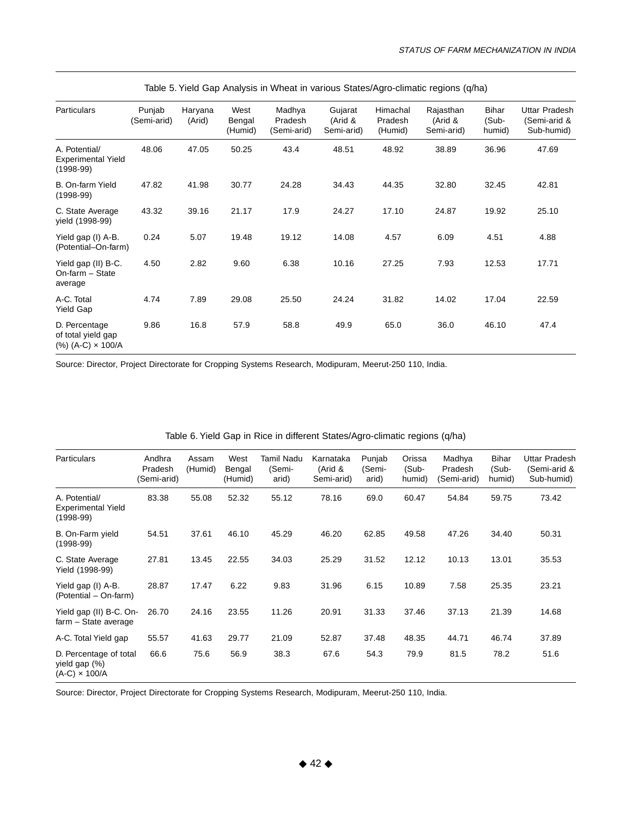| <b>Particulars</b>                                               | Punjab<br>(Semi-arid) | Haryana<br>(Arid) | West<br>Bengal<br>(Humid) | Madhya<br>Pradesh<br>(Semi-arid) | Gujarat<br>(Arid &<br>Semi-arid) | Himachal<br>Pradesh<br>(Humid) | Rajasthan<br>(Arid &<br>Semi-arid) | Bihar<br>(Sub-<br>humid) | Uttar Pradesh<br>(Semi-arid &<br>Sub-humid) |
|------------------------------------------------------------------|-----------------------|-------------------|---------------------------|----------------------------------|----------------------------------|--------------------------------|------------------------------------|--------------------------|---------------------------------------------|
| A. Potential/<br><b>Experimental Yield</b><br>$(1998-99)$        | 48.06                 | 47.05             | 50.25                     | 43.4                             | 48.51                            | 48.92                          | 38.89                              | 36.96                    | 47.69                                       |
| B. On-farm Yield<br>$(1998-99)$                                  | 47.82                 | 41.98             | 30.77                     | 24.28                            | 34.43                            | 44.35                          | 32.80                              | 32.45                    | 42.81                                       |
| C. State Average<br>yield (1998-99)                              | 43.32                 | 39.16             | 21.17                     | 17.9                             | 24.27                            | 17.10                          | 24.87                              | 19.92                    | 25.10                                       |
| Yield gap (I) A-B.<br>(Potential-On-farm)                        | 0.24                  | 5.07              | 19.48                     | 19.12                            | 14.08                            | 4.57                           | 6.09                               | 4.51                     | 4.88                                        |
| Yield gap (II) B-C.<br>On-farm - State<br>average                | 4.50                  | 2.82              | 9.60                      | 6.38                             | 10.16                            | 27.25                          | 7.93                               | 12.53                    | 17.71                                       |
| A-C. Total<br>Yield Gap                                          | 4.74                  | 7.89              | 29.08                     | 25.50                            | 24.24                            | 31.82                          | 14.02                              | 17.04                    | 22.59                                       |
| D. Percentage<br>of total yield gap<br>$(\%) (A-C) \times 100/A$ | 9.86                  | 16.8              | 57.9                      | 58.8                             | 49.9                             | 65.0                           | 36.0                               | 46.10                    | 47.4                                        |

|  | Table 5. Yield Gap Analysis in Wheat in various States/Agro-climatic regions (q/ha) |  |
|--|-------------------------------------------------------------------------------------|--|
|  |                                                                                     |  |

Source: Director, Project Directorate for Cropping Systems Research, Modipuram, Meerut-250 110, India.

| <b>Particulars</b>                                              | Andhra<br>Pradesh<br>(Semi-arid) | Assam<br>(Humid) | West<br>Bengal<br>(Humid) | Tamil Nadu<br>(Semi-<br>arid) | Karnataka<br>(Arid &<br>Semi-arid) | Punjab<br>(Semi-<br>arid) | Orissa<br>(Sub-<br>humid) | Madhya<br>Pradesh<br>(Semi-arid) | Bihar<br>(Sub-<br>humid) | <b>Uttar Pradesh</b><br>(Semi-arid &<br>Sub-humid) |
|-----------------------------------------------------------------|----------------------------------|------------------|---------------------------|-------------------------------|------------------------------------|---------------------------|---------------------------|----------------------------------|--------------------------|----------------------------------------------------|
| A. Potential/<br><b>Experimental Yield</b><br>$(1998-99)$       | 83.38                            | 55.08            | 52.32                     | 55.12                         | 78.16                              | 69.0                      | 60.47                     | 54.84                            | 59.75                    | 73.42                                              |
| B. On-Farm yield<br>$(1998-99)$                                 | 54.51                            | 37.61            | 46.10                     | 45.29                         | 46.20                              | 62.85                     | 49.58                     | 47.26                            | 34.40                    | 50.31                                              |
| C. State Average<br>Yield (1998-99)                             | 27.81                            | 13.45            | 22.55                     | 34.03                         | 25.29                              | 31.52                     | 12.12                     | 10.13                            | 13.01                    | 35.53                                              |
| Yield gap (I) A-B.<br>(Potential – On-farm)                     | 28.87                            | 17.47            | 6.22                      | 9.83                          | 31.96                              | 6.15                      | 10.89                     | 7.58                             | 25.35                    | 23.21                                              |
| Yield gap (II) B-C. On-<br>farm - State average                 | 26.70                            | 24.16            | 23.55                     | 11.26                         | 20.91                              | 31.33                     | 37.46                     | 37.13                            | 21.39                    | 14.68                                              |
| A-C. Total Yield gap                                            | 55.57                            | 41.63            | 29.77                     | 21.09                         | 52.87                              | 37.48                     | 48.35                     | 44.71                            | 46.74                    | 37.89                                              |
| D. Percentage of total<br>yield gap (%)<br>$(A-C) \times 100/A$ | 66.6                             | 75.6             | 56.9                      | 38.3                          | 67.6                               | 54.3                      | 79.9                      | 81.5                             | 78.2                     | 51.6                                               |

# Table 6. Yield Gap in Rice in different States/Agro-climatic regions (q/ha)

Source: Director, Project Directorate for Cropping Systems Research, Modipuram, Meerut-250 110, India.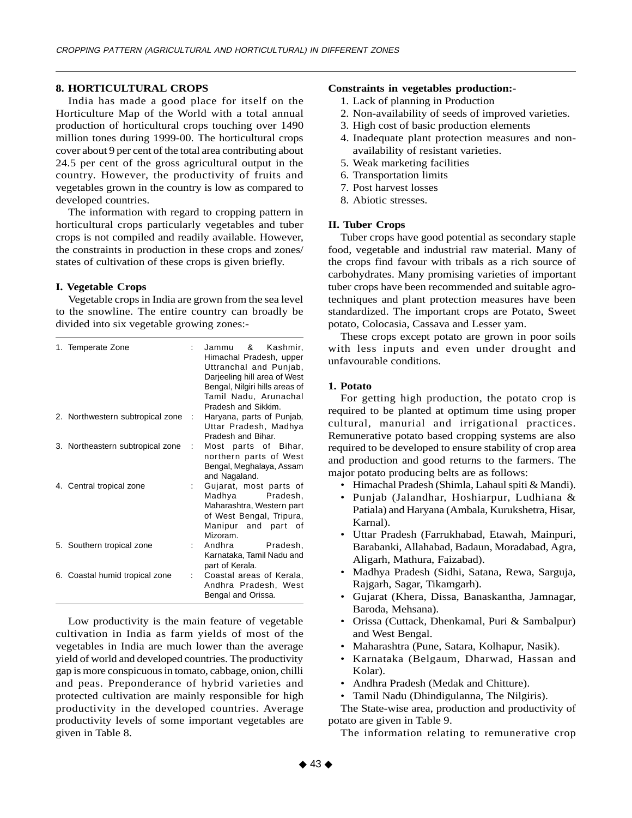## **8. HORTICULTURAL CROPS**

India has made a good place for itself on the Horticulture Map of the World with a total annual production of horticultural crops touching over 1490 million tones during 1999-00. The horticultural crops cover about 9 per cent of the total area contributing about 24.5 per cent of the gross agricultural output in the country. However, the productivity of fruits and vegetables grown in the country is low as compared to developed countries.

The information with regard to cropping pattern in horticultural crops particularly vegetables and tuber crops is not compiled and readily available. However, the constraints in production in these crops and zones/ states of cultivation of these crops is given briefly.

## **I. Vegetable Crops**

Vegetable crops in India are grown from the sea level to the snowline. The entire country can broadly be divided into six vegetable growing zones:-

| 1. Temperate Zone                |      | Jammu & Kashmir,<br>Himachal Pradesh, upper<br>Uttranchal and Punjab,<br>Darjeeling hill area of West<br>Bengal, Nilgiri hills areas of<br>Tamil Nadu, Arunachal<br>Pradesh and Sikkim. |
|----------------------------------|------|-----------------------------------------------------------------------------------------------------------------------------------------------------------------------------------------|
| 2. Northwestern subtropical zone | - 11 | Haryana, parts of Punjab,<br>Uttar Pradesh, Madhya<br>Pradesh and Bihar.                                                                                                                |
| 3. Northeastern subtropical zone | ÷    | Most parts of Bihar,<br>northern parts of West<br>Bengal, Meghalaya, Assam<br>and Nagaland.                                                                                             |
| 4. Central tropical zone         |      | Gujarat, most parts of<br>Madhya<br>Pradesh,<br>Maharashtra, Western part<br>of West Bengal, Tripura,<br>Manipur and part of<br>Mizoram.                                                |
| 5. Southern tropical zone        |      | Andhra<br>Pradesh,<br>Karnataka, Tamil Nadu and<br>part of Kerala.                                                                                                                      |
| 6. Coastal humid tropical zone   | ÷    | Coastal areas of Kerala.<br>Andhra Pradesh, West<br>Bengal and Orissa.                                                                                                                  |

Low productivity is the main feature of vegetable cultivation in India as farm yields of most of the vegetables in India are much lower than the average yield of world and developed countries. The productivity gap is more conspicuous in tomato, cabbage, onion, chilli and peas. Preponderance of hybrid varieties and protected cultivation are mainly responsible for high productivity in the developed countries. Average productivity levels of some important vegetables are given in Table 8.

# **Constraints in vegetables production:-**

- 1. Lack of planning in Production
- 2. Non-availability of seeds of improved varieties.
- 3. High cost of basic production elements
- 4. Inadequate plant protection measures and nonavailability of resistant varieties.
- 5. Weak marketing facilities
- 6. Transportation limits
- 7. Post harvest losses
- 8. Abiotic stresses.

## **II. Tuber Crops**

Tuber crops have good potential as secondary staple food, vegetable and industrial raw material. Many of the crops find favour with tribals as a rich source of carbohydrates. Many promising varieties of important tuber crops have been recommended and suitable agrotechniques and plant protection measures have been standardized. The important crops are Potato, Sweet potato, Colocasia, Cassava and Lesser yam.

These crops except potato are grown in poor soils with less inputs and even under drought and unfavourable conditions.

## **1. Potato**

For getting high production, the potato crop is required to be planted at optimum time using proper cultural, manurial and irrigational practices. Remunerative potato based cropping systems are also required to be developed to ensure stability of crop area and production and good returns to the farmers. The major potato producing belts are as follows:

- Himachal Pradesh (Shimla, Lahaul spiti & Mandi).
- Punjab (Jalandhar, Hoshiarpur, Ludhiana & Patiala) and Haryana (Ambala, Kurukshetra, Hisar, Karnal).
- Uttar Pradesh (Farrukhabad, Etawah, Mainpuri, Barabanki, Allahabad, Badaun, Moradabad, Agra, Aligarh, Mathura, Faizabad).
- Madhya Pradesh (Sidhi, Satana, Rewa, Sarguja, Rajgarh, Sagar, Tikamgarh).
- Gujarat (Khera, Dissa, Banaskantha, Jamnagar, Baroda, Mehsana).
- Orissa (Cuttack, Dhenkamal, Puri & Sambalpur) and West Bengal.
- Maharashtra (Pune, Satara, Kolhapur, Nasik).
- Karnataka (Belgaum, Dharwad, Hassan and Kolar).
- Andhra Pradesh (Medak and Chitture).

• Tamil Nadu (Dhindigulanna, The Nilgiris).

The State-wise area, production and productivity of potato are given in Table 9.

The information relating to remunerative crop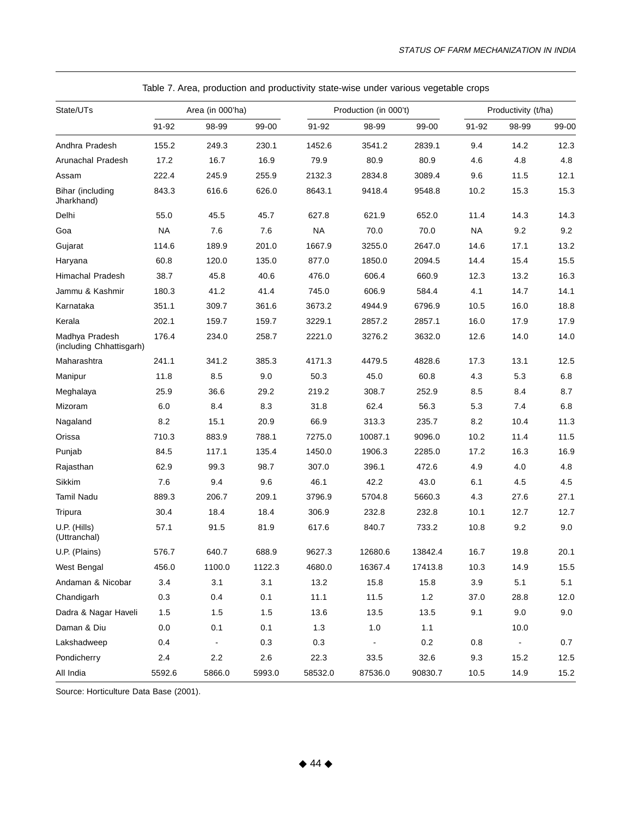| State/UTs                                  |           | Area (in 000'ha)             |         |           | Production (in 000't) | Productivity (t/ha) |           |                |       |
|--------------------------------------------|-----------|------------------------------|---------|-----------|-----------------------|---------------------|-----------|----------------|-------|
|                                            | 91-92     | 98-99                        | 99-00   | 91-92     | 98-99                 | 99-00               | 91-92     | 98-99          | 99-00 |
| Andhra Pradesh                             | 155.2     | 249.3                        | 230.1   | 1452.6    | 3541.2                | 2839.1              | 9.4       | 14.2           | 12.3  |
| Arunachal Pradesh                          | 17.2      | 16.7                         | 16.9    | 79.9      | 80.9                  | 80.9                | 4.6       | 4.8            | 4.8   |
| Assam                                      | 222.4     | 245.9                        | 255.9   | 2132.3    | 2834.8                | 3089.4              | 9.6       | 11.5           | 12.1  |
| Bihar (including<br>Jharkhand)             | 843.3     | 616.6                        | 626.0   | 8643.1    | 9418.4                | 9548.8              | 10.2      | 15.3           | 15.3  |
| Delhi                                      | 55.0      | 45.5                         | 45.7    | 627.8     | 621.9                 | 652.0               | 11.4      | 14.3           | 14.3  |
| Goa                                        | <b>NA</b> | 7.6                          | 7.6     | <b>NA</b> | 70.0                  | 70.0                | <b>NA</b> | 9.2            | 9.2   |
| Gujarat                                    | 114.6     | 189.9                        | 201.0   | 1667.9    | 3255.0                | 2647.0              | 14.6      | 17.1           | 13.2  |
| Haryana                                    | 60.8      | 120.0                        | 135.0   | 877.0     | 1850.0                | 2094.5              | 14.4      | 15.4           | 15.5  |
| Himachal Pradesh                           | 38.7      | 45.8                         | 40.6    | 476.0     | 606.4                 | 660.9               | 12.3      | 13.2           | 16.3  |
| Jammu & Kashmir                            | 180.3     | 41.2                         | 41.4    | 745.0     | 606.9                 | 584.4               | 4.1       | 14.7           | 14.1  |
| Karnataka                                  | 351.1     | 309.7                        | 361.6   | 3673.2    | 4944.9                | 6796.9              | 10.5      | 16.0           | 18.8  |
| Kerala                                     | 202.1     | 159.7                        | 159.7   | 3229.1    | 2857.2                | 2857.1              | 16.0      | 17.9           | 17.9  |
| Madhya Pradesh<br>(including Chhattisgarh) | 176.4     | 234.0                        | 258.7   | 2221.0    | 3276.2                | 3632.0              | 12.6      | 14.0           | 14.0  |
| Maharashtra                                | 241.1     | 341.2                        | 385.3   | 4171.3    | 4479.5                | 4828.6              | 17.3      | 13.1           | 12.5  |
| Manipur                                    | 11.8      | 8.5                          | 9.0     | 50.3      | 45.0                  | 60.8                | 4.3       | 5.3            | 6.8   |
| Meghalaya                                  | 25.9      | 36.6                         | 29.2    | 219.2     | 308.7                 | 252.9               | 8.5       | 8.4            | 8.7   |
| Mizoram                                    | 6.0       | 8.4                          | 8.3     | 31.8      | 62.4                  | 56.3                | 5.3       | 7.4            | 6.8   |
| Nagaland                                   | 8.2       | 15.1                         | 20.9    | 66.9      | 313.3                 | 235.7               | 8.2       | 10.4           | 11.3  |
| Orissa                                     | 710.3     | 883.9                        | 788.1   | 7275.0    | 10087.1               | 9096.0              | 10.2      | 11.4           | 11.5  |
| Punjab                                     | 84.5      | 117.1                        | 135.4   | 1450.0    | 1906.3                | 2285.0              | 17.2      | 16.3           | 16.9  |
| Rajasthan                                  | 62.9      | 99.3                         | 98.7    | 307.0     | 396.1                 | 472.6               | 4.9       | 4.0            | 4.8   |
| Sikkim                                     | 7.6       | 9.4                          | 9.6     | 46.1      | 42.2                  | 43.0                | 6.1       | 4.5            | 4.5   |
| <b>Tamil Nadu</b>                          | 889.3     | 206.7                        | 209.1   | 3796.9    | 5704.8                | 5660.3              | 4.3       | 27.6           | 27.1  |
| Tripura                                    | 30.4      | 18.4                         | 18.4    | 306.9     | 232.8                 | 232.8               | 10.1      | 12.7           | 12.7  |
| U.P. (Hills)<br>(Uttranchal)               | 57.1      | 91.5                         | 81.9    | 617.6     | 840.7                 | 733.2               | 10.8      | 9.2            | 9.0   |
| U.P. (Plains)                              | 576.7     | 640.7                        | 688.9   | 9627.3    | 12680.6               | 13842.4             | 16.7      | 19.8           | 20.1  |
| West Bengal                                | 456.0     | 1100.0                       | 1122.3  | 4680.0    | 16367.4               | 17413.8             | 10.3      | 14.9           | 15.5  |
| Andaman & Nicobar                          | 3.4       | 3.1                          | 3.1     | 13.2      | 15.8                  | 15.8                | $3.9\,$   | 5.1            | 5.1   |
| Chandigarh                                 | 0.3       | 0.4                          | 0.1     | 11.1      | 11.5                  | $1.2$               | 37.0      | 28.8           | 12.0  |
| Dadra & Nagar Haveli                       | 1.5       | 1.5                          | 1.5     | 13.6      | 13.5                  | 13.5                | 9.1       | 9.0            | 9.0   |
| Daman & Diu                                | 0.0       | 0.1                          | 0.1     | $1.3$     | $1.0$                 | 1.1                 |           | 10.0           |       |
| Lakshadweep                                | 0.4       | $\qquad \qquad \blacksquare$ | 0.3     | 0.3       |                       | $0.2\,$             | 0.8       | $\blacksquare$ | 0.7   |
| Pondicherry                                | 2.4       | $2.2\,$                      | $2.6\,$ | 22.3      | 33.5                  | 32.6                | 9.3       | 15.2           | 12.5  |
| All India                                  | 5592.6    | 5866.0                       | 5993.0  | 58532.0   | 87536.0               | 90830.7             | 10.5      | 14.9           | 15.2  |

Table 7. Area, production and productivity state-wise under various vegetable crops

Source: Horticulture Data Base (2001).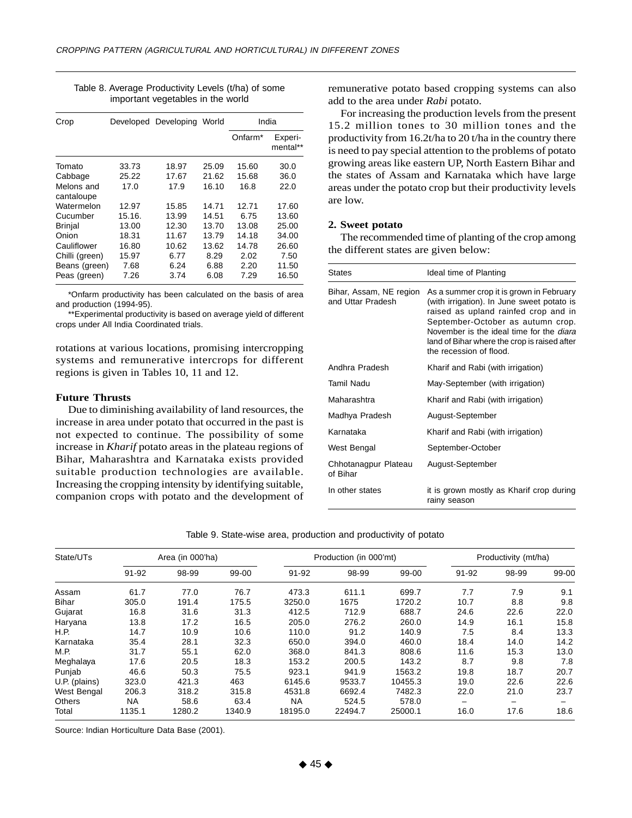| Crop                     |        | Developed Developing World |       | India               |                     |
|--------------------------|--------|----------------------------|-------|---------------------|---------------------|
|                          |        |                            |       | Onfarm <sup>*</sup> | Experi-<br>mental** |
| Tomato                   | 33.73  | 18.97                      | 25.09 | 15.60               | 30.0                |
| Cabbage                  | 25.22  | 17.67                      | 21.62 | 15.68               | 36.0                |
| Melons and<br>cantaloupe | 17.0   | 17.9                       | 16.10 | 16.8                | 22.0                |
| Watermelon               | 12.97  | 15.85                      | 14.71 | 12.71               | 17.60               |
| Cucumber                 | 15.16. | 13.99                      | 14.51 | 6.75                | 13.60               |
| <b>Brinjal</b>           | 13.00  | 12.30                      | 13.70 | 13.08               | 25.00               |
| Onion                    | 18.31  | 11.67                      | 13.79 | 14.18               | 34.00               |
| Cauliflower              | 16.80  | 10.62                      | 13.62 | 14.78               | 26.60               |
| Chilli (green)           | 15.97  | 6.77                       | 8.29  | 2.02                | 7.50                |
| Beans (green)            | 7.68   | 6.24                       | 6.88  | 2.20                | 11.50               |
| Peas (green)             | 7.26   | 3.74                       | 6.08  | 7.29                | 16.50               |

Table 8. Average Productivity Levels (t/ha) of some important vegetables in the world

\*Onfarm productivity has been calculated on the basis of area and production (1994-95).

\*\*Experimental productivity is based on average yield of different crops under All India Coordinated trials.

rotations at various locations, promising intercropping systems and remunerative intercrops for different regions is given in Tables 10, 11 and 12.

## **Future Thrusts**

Due to diminishing availability of land resources, the increase in area under potato that occurred in the past is not expected to continue. The possibility of some increase in *Kharif* potato areas in the plateau regions of Bihar, Maharashtra and Karnataka exists provided suitable production technologies are available. Increasing the cropping intensity by identifying suitable, companion crops with potato and the development of remunerative potato based cropping systems can also add to the area under *Rabi* potato.

For increasing the production levels from the present 15.2 million tones to 30 million tones and the productivity from 16.2t/ha to 20 t/ha in the country there is need to pay special attention to the problems of potato growing areas like eastern UP, North Eastern Bihar and the states of Assam and Karnataka which have large areas under the potato crop but their productivity levels are low.

## **2. Sweet potato**

The recommended time of planting of the crop among the different states are given below:

| <b>States</b>                                | Ideal time of Planting                                                                                                                                                                                                                                                                            |
|----------------------------------------------|---------------------------------------------------------------------------------------------------------------------------------------------------------------------------------------------------------------------------------------------------------------------------------------------------|
| Bihar, Assam, NE region<br>and Uttar Pradesh | As a summer crop it is grown in February<br>(with irrigation). In June sweet potato is<br>raised as upland rainfed crop and in<br>September-October as autumn crop.<br>November is the ideal time for the <i>diara</i><br>land of Bihar where the crop is raised after<br>the recession of flood. |
| Andhra Pradesh                               | Kharif and Rabi (with irrigation)                                                                                                                                                                                                                                                                 |
| Tamil Nadu                                   | May-September (with irrigation)                                                                                                                                                                                                                                                                   |
| Maharashtra                                  | Kharif and Rabi (with irrigation)                                                                                                                                                                                                                                                                 |
| Madhya Pradesh                               | August-September                                                                                                                                                                                                                                                                                  |
| Karnataka                                    | Kharif and Rabi (with irrigation)                                                                                                                                                                                                                                                                 |
| West Bengal                                  | September-October                                                                                                                                                                                                                                                                                 |
| Chhotanagpur Plateau<br>of Bihar             | August-September                                                                                                                                                                                                                                                                                  |
| In other states                              | it is grown mostly as Kharif crop during<br>rainy season                                                                                                                                                                                                                                          |

|  | Table 9. State-wise area, production and productivity of potato |  |  |  |  |  |
|--|-----------------------------------------------------------------|--|--|--|--|--|
|--|-----------------------------------------------------------------|--|--|--|--|--|

| State/UTs     | Area (in 000'ha) |        |        | Production (in 000'mt) |         |         | Productivity (mt/ha) |       |       |
|---------------|------------------|--------|--------|------------------------|---------|---------|----------------------|-------|-------|
|               | 91-92            | 98-99  | 99-00  | 91-92                  | 98-99   | 99-00   | 91-92                | 98-99 | 99-00 |
| Assam         | 61.7             | 77.0   | 76.7   | 473.3                  | 611.1   | 699.7   | 7.7                  | 7.9   | 9.1   |
| Bihar         | 305.0            | 191.4  | 175.5  | 3250.0                 | 1675    | 1720.2  | 10.7                 | 8.8   | 9.8   |
| Gujarat       | 16.8             | 31.6   | 31.3   | 412.5                  | 712.9   | 688.7   | 24.6                 | 22.6  | 22.0  |
| Haryana       | 13.8             | 17.2   | 16.5   | 205.0                  | 276.2   | 260.0   | 14.9                 | 16.1  | 15.8  |
| H.P.          | 14.7             | 10.9   | 10.6   | 110.0                  | 91.2    | 140.9   | 7.5                  | 8.4   | 13.3  |
| Karnataka     | 35.4             | 28.1   | 32.3   | 650.0                  | 394.0   | 460.0   | 18.4                 | 14.0  | 14.2  |
| M.P.          | 31.7             | 55.1   | 62.0   | 368.0                  | 841.3   | 808.6   | 11.6                 | 15.3  | 13.0  |
| Meghalaya     | 17.6             | 20.5   | 18.3   | 153.2                  | 200.5   | 143.2   | 8.7                  | 9.8   | 7.8   |
| Punjab        | 46.6             | 50.3   | 75.5   | 923.1                  | 941.9   | 1563.2  | 19.8                 | 18.7  | 20.7  |
| U.P. (plains) | 323.0            | 421.3  | 463    | 6145.6                 | 9533.7  | 10455.3 | 19.0                 | 22.6  | 22.6  |
| West Bengal   | 206.3            | 318.2  | 315.8  | 4531.8                 | 6692.4  | 7482.3  | 22.0                 | 21.0  | 23.7  |
| <b>Others</b> | <b>NA</b>        | 58.6   | 63.4   | <b>NA</b>              | 524.5   | 578.0   |                      | -     |       |
| Total         | 1135.1           | 1280.2 | 1340.9 | 18195.0                | 22494.7 | 25000.1 | 16.0                 | 17.6  | 18.6  |

Source: Indian Horticulture Data Base (2001).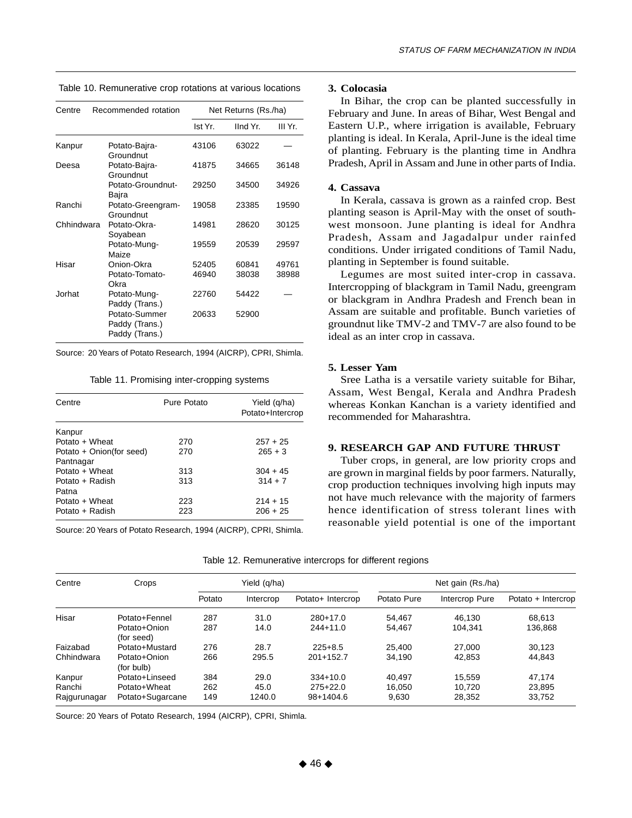| Centre     | Recommended rotation                              |         | Net Returns (Rs./ha) |         |  |  |
|------------|---------------------------------------------------|---------|----------------------|---------|--|--|
|            |                                                   | Ist Yr. | IInd Yr.             | III Yr. |  |  |
| Kanpur     | Potato-Bajra-<br>Groundnut                        | 43106   | 63022                |         |  |  |
| Deesa      | Potato-Bajra-<br>Groundnut                        | 41875   | 34665                | 36148   |  |  |
|            | Potato-Groundnut-<br>Bajra                        | 29250   | 34500                | 34926   |  |  |
| Ranchi     | Potato-Greengram-<br>Groundnut                    | 19058   | 23385                | 19590   |  |  |
| Chhindwara | Potato-Okra-<br>Soyabean                          | 14981   | 28620                | 30125   |  |  |
|            | Potato-Mung-<br>Maize                             | 19559   | 20539                | 29597   |  |  |
| Hisar      | Onion-Okra                                        | 52405   | 60841                | 49761   |  |  |
|            | Potato-Tomato-<br>Okra                            | 46940   | 38038                | 38988   |  |  |
| Jorhat     | Potato-Mung-<br>Paddy (Trans.)                    | 22760   | 54422                |         |  |  |
|            | Potato-Summer<br>Paddy (Trans.)<br>Paddy (Trans.) | 20633   | 52900                |         |  |  |

Table 10. Remunerative crop rotations at various locations

Source: 20 Years of Potato Research, 1994 (AICRP), CPRI, Shimla.

Table 11. Promising inter-cropping systems

| Centre                   | Pure Potato | Yield (q/ha)<br>Potato+Intercrop |
|--------------------------|-------------|----------------------------------|
| Kanpur                   |             |                                  |
| Potato + Wheat           | 270         | $257 + 25$                       |
| Potato + Onion(for seed) | 270         | $265 + 3$                        |
| Pantnagar                |             |                                  |
| Potato + Wheat           | 313         | $304 + 45$                       |
| Potato + Radish          | 313         | $314 + 7$                        |
| Patna                    |             |                                  |
| Potato + Wheat           | 223         | $214 + 15$                       |
| Potato + Radish          | 223         | $206 + 25$                       |

Source: 20 Years of Potato Research, 1994 (AICRP), CPRI, Shimla.

#### **3. Colocasia**

In Bihar, the crop can be planted successfully in February and June. In areas of Bihar, West Bengal and Eastern U.P., where irrigation is available, February planting is ideal. In Kerala, April-June is the ideal time of planting. February is the planting time in Andhra Pradesh, April in Assam and June in other parts of India.

## **4. Cassava**

In Kerala, cassava is grown as a rainfed crop. Best planting season is April-May with the onset of southwest monsoon. June planting is ideal for Andhra Pradesh, Assam and Jagadalpur under rainfed conditions. Under irrigated conditions of Tamil Nadu, planting in September is found suitable.

Legumes are most suited inter-crop in cassava. Intercropping of blackgram in Tamil Nadu, greengram or blackgram in Andhra Pradesh and French bean in Assam are suitable and profitable. Bunch varieties of groundnut like TMV-2 and TMV-7 are also found to be ideal as an inter crop in cassava.

## **5. Lesser Yam**

Sree Latha is a versatile variety suitable for Bihar, Assam, West Bengal, Kerala and Andhra Pradesh whereas Konkan Kanchan is a variety identified and recommended for Maharashtra.

#### **9. RESEARCH GAP AND FUTURE THRUST**

Tuber crops, in general, are low priority crops and are grown in marginal fields by poor farmers. Naturally, crop production techniques involving high inputs may not have much relevance with the majority of farmers hence identification of stress tolerant lines with reasonable yield potential is one of the important

| Centre       | Crops                      | Yield (q/ha) |           |                   | Net gain (Rs./ha) |                |                    |
|--------------|----------------------------|--------------|-----------|-------------------|-------------------|----------------|--------------------|
|              |                            | Potato       | Intercrop | Potato+ Intercrop | Potato Pure       | Intercrop Pure | Potato + Intercrop |
| Hisar        | Potato+Fennel              | 287          | 31.0      | $280+17.0$        | 54.467            | 46.130         | 68,613             |
|              | Potato+Onion<br>(for seed) | 287          | 14.0      | $244+11.0$        | 54,467            | 104.341        | 136,868            |
| Faizabad     | Potato+Mustard             | 276          | 28.7      | $225 + 8.5$       | 25.400            | 27,000         | 30,123             |
| Chhindwara   | Potato+Onion<br>(for bulb) | 266          | 295.5     | $201+152.7$       | 34,190            | 42,853         | 44,843             |
| Kanpur       | Potato+Linseed             | 384          | 29.0      | $334+10.0$        | 40.497            | 15,559         | 47,174             |
| Ranchi       | Potato+Wheat               | 262          | 45.0      | $275+22.0$        | 16.050            | 10.720         | 23,895             |
| Rajgurunagar | Potato+Sugarcane           | 149          | 1240.0    | 98+1404.6         | 9,630             | 28,352         | 33,752             |

| Table 12. Remunerative intercrops for different regions |  |  |
|---------------------------------------------------------|--|--|
|                                                         |  |  |

Source: 20 Years of Potato Research, 1994 (AICRP), CPRI, Shimla.